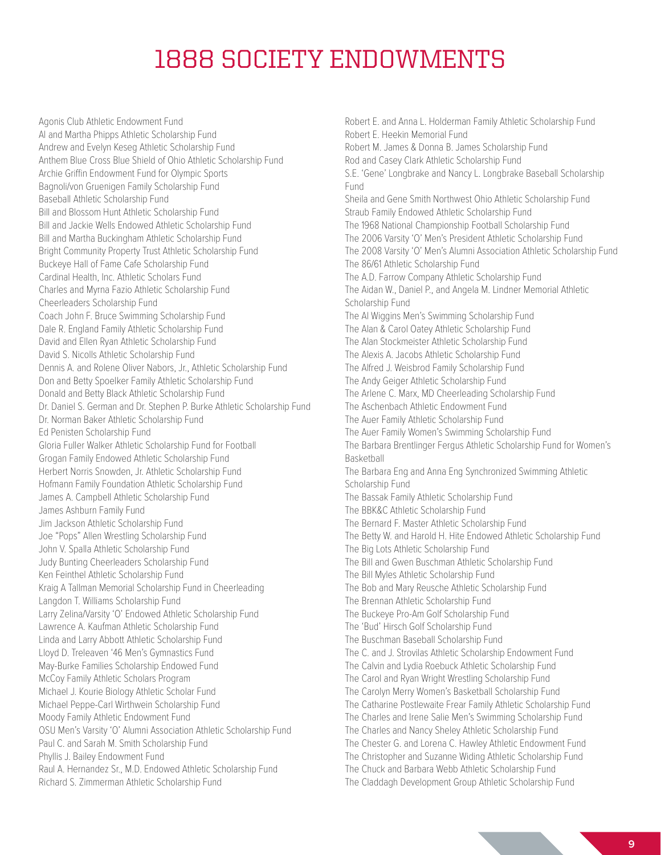## 1888 SOCIETY ENDOWMENTS

Agonis Club Athletic Endowment Fund Al and Martha Phipps Athletic Scholarship Fund Andrew and Evelyn Keseg Athletic Scholarship Fund Anthem Blue Cross Blue Shield of Ohio Athletic Scholarship Fund Archie Griffin Endowment Fund for Olympic Sports Bagnoli/von Gruenigen Family Scholarship Fund Baseball Athletic Scholarship Fund Bill and Blossom Hunt Athletic Scholarship Fund Bill and Jackie Wells Endowed Athletic Scholarship Fund Bill and Martha Buckingham Athletic Scholarship Fund Bright Community Property Trust Athletic Scholarship Fund Buckeye Hall of Fame Cafe Scholarship Fund Cardinal Health, Inc. Athletic Scholars Fund Charles and Myrna Fazio Athletic Scholarship Fund Cheerleaders Scholarship Fund Coach John F. Bruce Swimming Scholarship Fund Dale R. England Family Athletic Scholarship Fund David and Ellen Ryan Athletic Scholarship Fund David S. Nicolls Athletic Scholarship Fund Dennis A. and Rolene Oliver Nabors, Jr., Athletic Scholarship Fund Don and Betty Spoelker Family Athletic Scholarship Fund Donald and Betty Black Athletic Scholarship Fund Dr. Daniel S. German and Dr. Stephen P. Burke Athletic Scholarship Fund Dr. Norman Baker Athletic Scholarship Fund Ed Penisten Scholarship Fund Gloria Fuller Walker Athletic Scholarship Fund for Football Grogan Family Endowed Athletic Scholarship Fund Herbert Norris Snowden, Jr. Athletic Scholarship Fund Hofmann Family Foundation Athletic Scholarship Fund James A. Campbell Athletic Scholarship Fund James Ashburn Family Fund Jim Jackson Athletic Scholarship Fund Joe "Pops" Allen Wrestling Scholarship Fund John V. Spalla Athletic Scholarship Fund Judy Bunting Cheerleaders Scholarship Fund Ken Feinthel Athletic Scholarship Fund Kraig A Tallman Memorial Scholarship Fund in Cheerleading Langdon T. Williams Scholarship Fund Larry Zelina/Varsity 'O' Endowed Athletic Scholarship Fund Lawrence A. Kaufman Athletic Scholarship Fund Linda and Larry Abbott Athletic Scholarship Fund Lloyd D. Treleaven '46 Men's Gymnastics Fund May-Burke Families Scholarship Endowed Fund McCoy Family Athletic Scholars Program Michael J. Kourie Biology Athletic Scholar Fund Michael Peppe-Carl Wirthwein Scholarship Fund Moody Family Athletic Endowment Fund OSU Men's Varsity 'O' Alumni Association Athletic Scholarship Fund Paul C. and Sarah M. Smith Scholarship Fund Phyllis J. Bailey Endowment Fund Raul A. Hernandez Sr., M.D. Endowed Athletic Scholarship Fund Richard S. Zimmerman Athletic Scholarship Fund

Robert E. and Anna L. Holderman Family Athletic Scholarship Fund Robert E. Heekin Memorial Fund Robert M. James & Donna B. James Scholarship Fund Rod and Casey Clark Athletic Scholarship Fund S.E. 'Gene' Longbrake and Nancy L. Longbrake Baseball Scholarship Fund Sheila and Gene Smith Northwest Ohio Athletic Scholarship Fund Straub Family Endowed Athletic Scholarship Fund The 1968 National Championship Football Scholarship Fund The 2006 Varsity 'O' Men's President Athletic Scholarship Fund The 2008 Varsity 'O' Men's Alumni Association Athletic Scholarship Fund The 86/61 Athletic Scholarship Fund The A.D. Farrow Company Athletic Scholarship Fund The Aidan W., Daniel P., and Angela M. Lindner Memorial Athletic Scholarship Fund The Al Wiggins Men's Swimming Scholarship Fund The Alan & Carol Oatey Athletic Scholarship Fund The Alan Stockmeister Athletic Scholarship Fund The Alexis A. Jacobs Athletic Scholarship Fund The Alfred J. Weisbrod Family Scholarship Fund The Andy Geiger Athletic Scholarship Fund The Arlene C. Marx, MD Cheerleading Scholarship Fund The Aschenbach Athletic Endowment Fund The Auer Family Athletic Scholarship Fund The Auer Family Women's Swimming Scholarship Fund The Barbara Brentlinger Fergus Athletic Scholarship Fund for Women's Basketball The Barbara Eng and Anna Eng Synchronized Swimming Athletic Scholarship Fund The Bassak Family Athletic Scholarship Fund The BBK&C Athletic Scholarship Fund The Bernard F. Master Athletic Scholarship Fund The Betty W. and Harold H. Hite Endowed Athletic Scholarship Fund The Big Lots Athletic Scholarship Fund The Bill and Gwen Buschman Athletic Scholarship Fund The Bill Myles Athletic Scholarship Fund The Bob and Mary Reusche Athletic Scholarship Fund The Brennan Athletic Scholarship Fund The Buckeye Pro-Am Golf Scholarship Fund The 'Bud' Hirsch Golf Scholarship Fund The Buschman Baseball Scholarship Fund The C. and J. Strovilas Athletic Scholarship Endowment Fund The Calvin and Lydia Roebuck Athletic Scholarship Fund The Carol and Ryan Wright Wrestling Scholarship Fund The Carolyn Merry Women's Basketball Scholarship Fund The Catharine Postlewaite Frear Family Athletic Scholarship Fund The Charles and Irene Salie Men's Swimming Scholarship Fund The Charles and Nancy Sheley Athletic Scholarship Fund The Chester G. and Lorena C. Hawley Athletic Endowment Fund The Christopher and Suzanne Widing Athletic Scholarship Fund The Chuck and Barbara Webb Athletic Scholarship Fund The Claddagh Development Group Athletic Scholarship Fund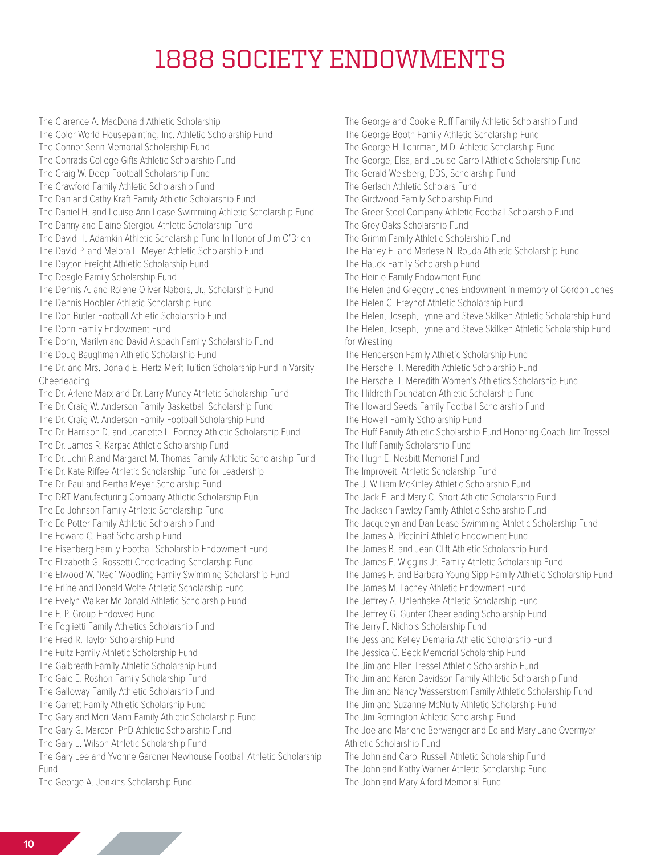## 1888 SOCIETY ENDOWMENTS

The Clarence A. MacDonald Athletic Scholarship The Color World Housepainting, Inc. Athletic Scholarship Fund The Connor Senn Memorial Scholarship Fund The Conrads College Gifts Athletic Scholarship Fund The Craig W. Deep Football Scholarship Fund The Crawford Family Athletic Scholarship Fund The Dan and Cathy Kraft Family Athletic Scholarship Fund The Daniel H. and Louise Ann Lease Swimming Athletic Scholarship Fund The Danny and Elaine Stergiou Athletic Scholarship Fund The David H. Adamkin Athletic Scholarship Fund In Honor of Jim O'Brien The David P. and Melora L. Meyer Athletic Scholarship Fund The Dayton Freight Athletic Scholarship Fund The Deagle Family Scholarship Fund The Dennis A. and Rolene Oliver Nabors, Jr., Scholarship Fund The Dennis Hoobler Athletic Scholarship Fund The Don Butler Football Athletic Scholarship Fund The Donn Family Endowment Fund The Donn, Marilyn and David Alspach Family Scholarship Fund The Doug Baughman Athletic Scholarship Fund The Dr. and Mrs. Donald E. Hertz Merit Tuition Scholarship Fund in Varsity Cheerleading The Dr. Arlene Marx and Dr. Larry Mundy Athletic Scholarship Fund The Dr. Craig W. Anderson Family Basketball Scholarship Fund The Dr. Craig W. Anderson Family Football Scholarship Fund The Dr. Harrison D. and Jeanette L. Fortney Athletic Scholarship Fund The Dr. James R. Karpac Athletic Scholarship Fund The Dr. John R.and Margaret M. Thomas Family Athletic Scholarship Fund The Dr. Kate Riffee Athletic Scholarship Fund for Leadership The Dr. Paul and Bertha Meyer Scholarship Fund The DRT Manufacturing Company Athletic Scholarship Fun The Ed Johnson Family Athletic Scholarship Fund The Ed Potter Family Athletic Scholarship Fund The Edward C. Haaf Scholarship Fund The Eisenberg Family Football Scholarship Endowment Fund The Elizabeth G. Rossetti Cheerleading Scholarship Fund The Elwood W. 'Red' Woodling Family Swimming Scholarship Fund The Erline and Donald Wolfe Athletic Scholarship Fund The Evelyn Walker McDonald Athletic Scholarship Fund The F. P. Group Endowed Fund The Foglietti Family Athletics Scholarship Fund The Fred R. Taylor Scholarship Fund The Fultz Family Athletic Scholarship Fund The Galbreath Family Athletic Scholarship Fund The Gale E. Roshon Family Scholarship Fund The Galloway Family Athletic Scholarship Fund The Garrett Family Athletic Scholarship Fund The Gary and Meri Mann Family Athletic Scholarship Fund The Gary G. Marconi PhD Athletic Scholarship Fund The Gary L. Wilson Athletic Scholarship Fund The Gary Lee and Yvonne Gardner Newhouse Football Athletic Scholarship Fund The George A. Jenkins Scholarship Fund

The George and Cookie Ruff Family Athletic Scholarship Fund The George Booth Family Athletic Scholarship Fund The George H. Lohrman, M.D. Athletic Scholarship Fund The George, Elsa, and Louise Carroll Athletic Scholarship Fund The Gerald Weisberg, DDS, Scholarship Fund The Gerlach Athletic Scholars Fund The Girdwood Family Scholarship Fund The Greer Steel Company Athletic Football Scholarship Fund The Grey Oaks Scholarship Fund The Grimm Family Athletic Scholarship Fund The Harley E. and Marlese N. Rouda Athletic Scholarship Fund The Hauck Family Scholarship Fund The Heinle Family Endowment Fund The Helen and Gregory Jones Endowment in memory of Gordon Jones The Helen C. Freyhof Athletic Scholarship Fund The Helen, Joseph, Lynne and Steve Skilken Athletic Scholarship Fund The Helen, Joseph, Lynne and Steve Skilken Athletic Scholarship Fund for Wrestling The Henderson Family Athletic Scholarship Fund The Herschel T. Meredith Athletic Scholarship Fund The Herschel T. Meredith Women's Athletics Scholarship Fund The Hildreth Foundation Athletic Scholarship Fund The Howard Seeds Family Football Scholarship Fund The Howell Family Scholarship Fund The Huff Family Athletic Scholarship Fund Honoring Coach Jim Tressel The Huff Family Scholarship Fund The Hugh E. Nesbitt Memorial Fund The Improveit! Athletic Scholarship Fund The J. William McKinley Athletic Scholarship Fund The Jack E. and Mary C. Short Athletic Scholarship Fund The Jackson-Fawley Family Athletic Scholarship Fund The Jacquelyn and Dan Lease Swimming Athletic Scholarship Fund The James A. Piccinini Athletic Endowment Fund The James B. and Jean Clift Athletic Scholarship Fund The James E. Wiggins Jr. Family Athletic Scholarship Fund The James F. and Barbara Young Sipp Family Athletic Scholarship Fund The James M. Lachey Athletic Endowment Fund The Jeffrey A. Uhlenhake Athletic Scholarship Fund The Jeffrey G. Gunter Cheerleading Scholarship Fund The Jerry F. Nichols Scholarship Fund The Jess and Kelley Demaria Athletic Scholarship Fund The Jessica C. Beck Memorial Scholarship Fund The Jim and Ellen Tressel Athletic Scholarship Fund The Jim and Karen Davidson Family Athletic Scholarship Fund The Jim and Nancy Wasserstrom Family Athletic Scholarship Fund The Jim and Suzanne McNulty Athletic Scholarship Fund The Jim Remington Athletic Scholarship Fund The Joe and Marlene Berwanger and Ed and Mary Jane Overmyer Athletic Scholarship Fund The John and Carol Russell Athletic Scholarship Fund The John and Kathy Warner Athletic Scholarship Fund The John and Mary Alford Memorial Fund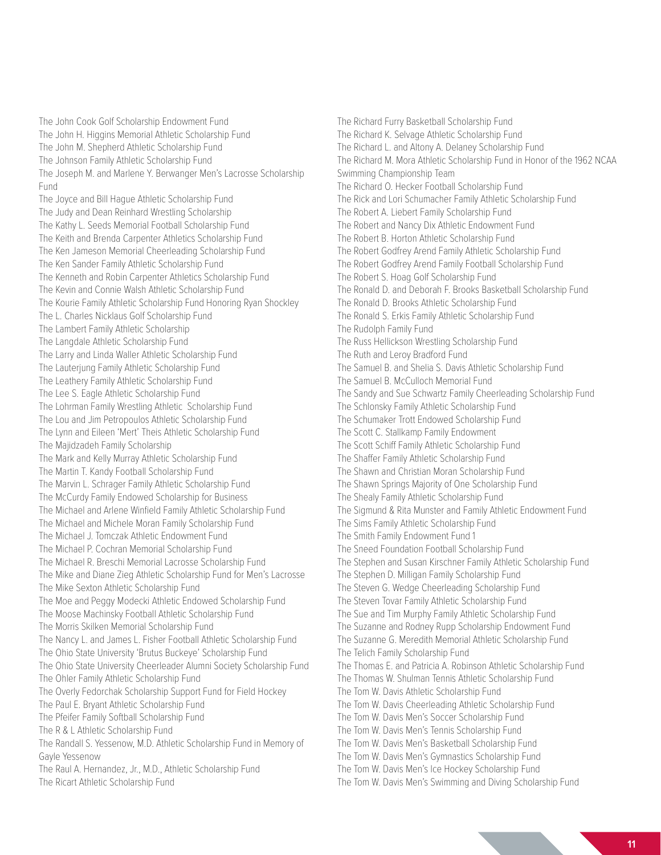The John Cook Golf Scholarship Endowment Fund The John H. Higgins Memorial Athletic Scholarship Fund The John M. Shepherd Athletic Scholarship Fund The Johnson Family Athletic Scholarship Fund The Joseph M. and Marlene Y. Berwanger Men's Lacrosse Scholarship Fund

The Joyce and Bill Hague Athletic Scholarship Fund The Judy and Dean Reinhard Wrestling Scholarship The Kathy L. Seeds Memorial Football Scholarship Fund The Keith and Brenda Carpenter Athletics Scholarship Fund The Ken Jameson Memorial Cheerleading Scholarship Fund The Ken Sander Family Athletic Scholarship Fund The Kenneth and Robin Carpenter Athletics Scholarship Fund The Kevin and Connie Walsh Athletic Scholarship Fund The Kourie Family Athletic Scholarship Fund Honoring Ryan Shockley The L. Charles Nicklaus Golf Scholarship Fund The Lambert Family Athletic Scholarship The Langdale Athletic Scholarship Fund The Larry and Linda Waller Athletic Scholarship Fund The Lauterjung Family Athletic Scholarship Fund The Leathery Family Athletic Scholarship Fund The Lee S. Eagle Athletic Scholarship Fund The Lohrman Family Wrestling Athletic Scholarship Fund The Lou and Jim Petropoulos Athletic Scholarship Fund The Lynn and Eileen 'Mert' Theis Athletic Scholarship Fund The Majidzadeh Family Scholarship The Mark and Kelly Murray Athletic Scholarship Fund The Martin T. Kandy Football Scholarship Fund The Marvin L. Schrager Family Athletic Scholarship Fund The McCurdy Family Endowed Scholarship for Business The Michael and Arlene Winfield Family Athletic Scholarship Fund The Michael and Michele Moran Family Scholarship Fund The Michael J. Tomczak Athletic Endowment Fund The Michael P. Cochran Memorial Scholarship Fund The Michael R. Breschi Memorial Lacrosse Scholarship Fund The Mike and Diane Zieg Athletic Scholarship Fund for Men's Lacrosse The Mike Sexton Athletic Scholarship Fund The Moe and Peggy Modecki Athletic Endowed Scholarship Fund The Moose Machinsky Football Athletic Scholarship Fund The Morris Skilken Memorial Scholarship Fund The Nancy L. and James L. Fisher Football Athletic Scholarship Fund The Ohio State University 'Brutus Buckeye' Scholarship Fund The Ohio State University Cheerleader Alumni Society Scholarship Fund The Ohler Family Athletic Scholarship Fund The Overly Fedorchak Scholarship Support Fund for Field Hockey The Paul E. Bryant Athletic Scholarship Fund The Pfeifer Family Softball Scholarship Fund The R & L Athletic Scholarship Fund The Randall S. Yessenow, M.D. Athletic Scholarship Fund in Memory of Gayle Yessenow The Raul A. Hernandez, Jr., M.D., Athletic Scholarship Fund The Ricart Athletic Scholarship Fund

The Richard Furry Basketball Scholarship Fund The Richard K. Selvage Athletic Scholarship Fund The Richard L. and Altony A. Delaney Scholarship Fund The Richard M. Mora Athletic Scholarship Fund in Honor of the 1962 NCAA Swimming Championship Team The Richard O. Hecker Football Scholarship Fund The Rick and Lori Schumacher Family Athletic Scholarship Fund The Robert A. Liebert Family Scholarship Fund The Robert and Nancy Dix Athletic Endowment Fund The Robert B. Horton Athletic Scholarship Fund The Robert Godfrey Arend Family Athletic Scholarship Fund The Robert Godfrey Arend Family Football Scholarship Fund The Robert S. Hoag Golf Scholarship Fund The Ronald D. and Deborah F. Brooks Basketball Scholarship Fund The Ronald D. Brooks Athletic Scholarship Fund The Ronald S. Erkis Family Athletic Scholarship Fund The Rudolph Family Fund The Russ Hellickson Wrestling Scholarship Fund The Ruth and Leroy Bradford Fund The Samuel B. and Shelia S. Davis Athletic Scholarship Fund The Samuel B. McCulloch Memorial Fund The Sandy and Sue Schwartz Family Cheerleading Scholarship Fund The Schlonsky Family Athletic Scholarship Fund The Schumaker Trott Endowed Scholarship Fund The Scott C. Stallkamp Family Endowment The Scott Schiff Family Athletic Scholarship Fund The Shaffer Family Athletic Scholarship Fund The Shawn and Christian Moran Scholarship Fund The Shawn Springs Majority of One Scholarship Fund The Shealy Family Athletic Scholarship Fund The Sigmund & Rita Munster and Family Athletic Endowment Fund The Sims Family Athletic Scholarship Fund The Smith Family Endowment Fund 1 The Sneed Foundation Football Scholarship Fund The Stephen and Susan Kirschner Family Athletic Scholarship Fund The Stephen D. Milligan Family Scholarship Fund The Steven G. Wedge Cheerleading Scholarship Fund The Steven Tovar Family Athletic Scholarship Fund The Sue and Tim Murphy Family Athletic Scholarship Fund The Suzanne and Rodney Rupp Scholarship Endowment Fund The Suzanne G. Meredith Memorial Athletic Scholarship Fund The Telich Family Scholarship Fund The Thomas E. and Patricia A. Robinson Athletic Scholarship Fund The Thomas W. Shulman Tennis Athletic Scholarship Fund The Tom W. Davis Athletic Scholarship Fund The Tom W. Davis Cheerleading Athletic Scholarship Fund The Tom W. Davis Men's Soccer Scholarship Fund The Tom W. Davis Men's Tennis Scholarship Fund The Tom W. Davis Men's Basketball Scholarship Fund The Tom W. Davis Men's Gymnastics Scholarship Fund The Tom W. Davis Men's Ice Hockey Scholarship Fund The Tom W. Davis Men's Swimming and Diving Scholarship Fund